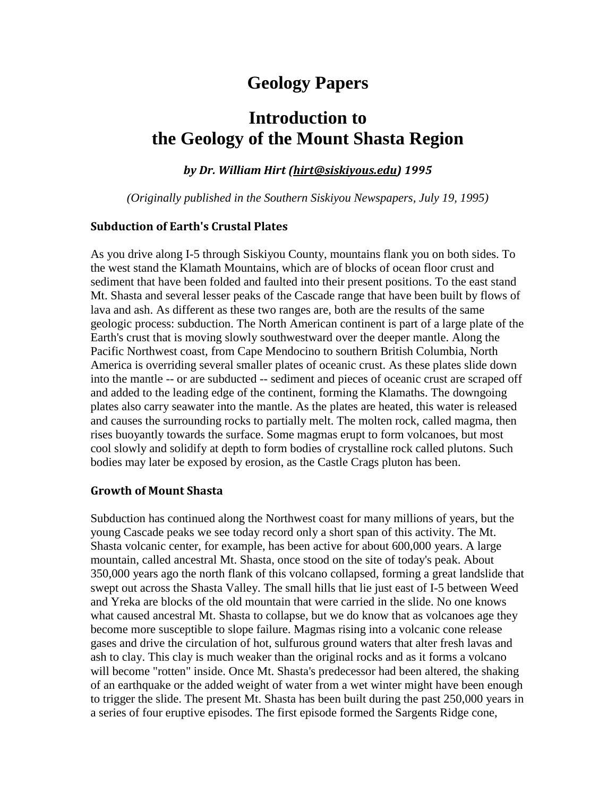# **Geology Papers**

# **Introduction to the Geology of the Mount Shasta Region**

*by Dr. William Hirt [\(hirt@siskiyous.edu\)](mailto:hirt@siskiyous.edu) 1995*

*(Originally published in the Southern Siskiyou Newspapers, July 19, 1995)*

## **Subduction of Earth's Crustal Plates**

As you drive along I-5 through Siskiyou County, mountains flank you on both sides. To the west stand the Klamath Mountains, which are of blocks of ocean floor crust and sediment that have been folded and faulted into their present positions. To the east stand Mt. Shasta and several lesser peaks of the Cascade range that have been built by flows of lava and ash. As different as these two ranges are, both are the results of the same geologic process: subduction. The North American continent is part of a large plate of the Earth's crust that is moving slowly southwestward over the deeper mantle. Along the Pacific Northwest coast, from Cape Mendocino to southern British Columbia, North America is overriding several smaller plates of oceanic crust. As these plates slide down into the mantle -- or are subducted -- sediment and pieces of oceanic crust are scraped off and added to the leading edge of the continent, forming the Klamaths. The downgoing plates also carry seawater into the mantle. As the plates are heated, this water is released and causes the surrounding rocks to partially melt. The molten rock, called magma, then rises buoyantly towards the surface. Some magmas erupt to form volcanoes, but most cool slowly and solidify at depth to form bodies of crystalline rock called plutons. Such bodies may later be exposed by erosion, as the Castle Crags pluton has been.

#### **Growth of Mount Shasta**

Subduction has continued along the Northwest coast for many millions of years, but the young Cascade peaks we see today record only a short span of this activity. The Mt. Shasta volcanic center, for example, has been active for about 600,000 years. A large mountain, called ancestral Mt. Shasta, once stood on the site of today's peak. About 350,000 years ago the north flank of this volcano collapsed, forming a great landslide that swept out across the Shasta Valley. The small hills that lie just east of I-5 between Weed and Yreka are blocks of the old mountain that were carried in the slide. No one knows what caused ancestral Mt. Shasta to collapse, but we do know that as volcanoes age they become more susceptible to slope failure. Magmas rising into a volcanic cone release gases and drive the circulation of hot, sulfurous ground waters that alter fresh lavas and ash to clay. This clay is much weaker than the original rocks and as it forms a volcano will become "rotten" inside. Once Mt. Shasta's predecessor had been altered, the shaking of an earthquake or the added weight of water from a wet winter might have been enough to trigger the slide. The present Mt. Shasta has been built during the past 250,000 years in a series of four eruptive episodes. The first episode formed the Sargents Ridge cone,